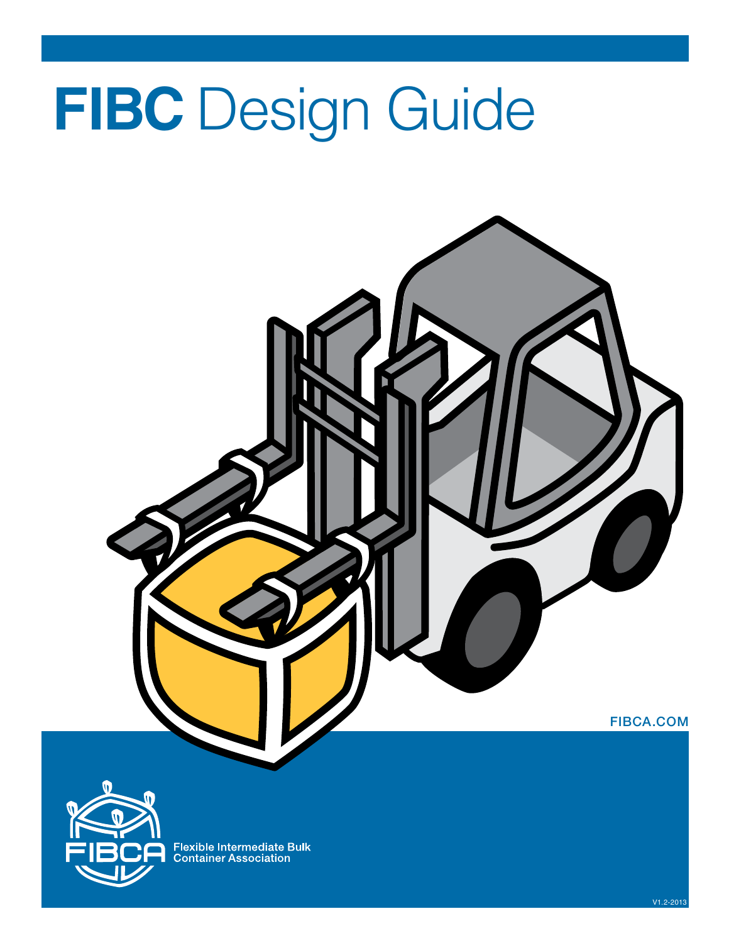# **FIBC** Design Guide





Flexible Intermediate Bulk<br>Container Association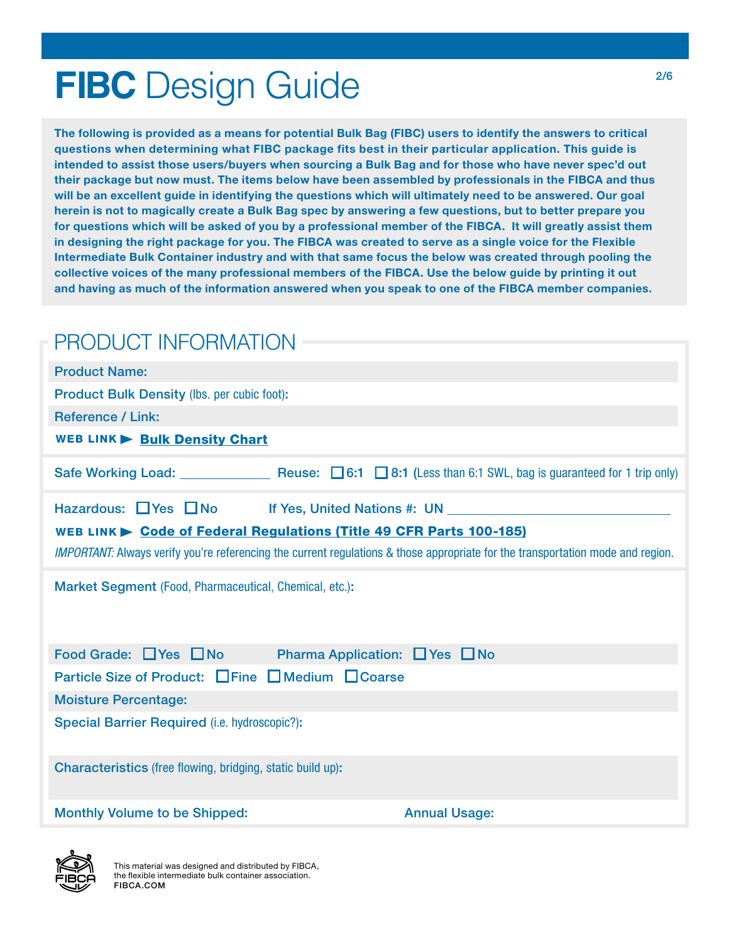# **FIBC** Design Guide

The following is provided as a means for potential Bulk Bag (FIBC) users to identify the answers to critical questions when determining what FIBC package fits best in their particular application. This guide is intended to assist those users/buyers when sourcing a Bulk Bag and for those who have never spec'd out their package but now must. The items below have been assembled by professionals in the FIBCA and thus will be an excellent guide in identifying the questions which will ultimately need to be answered. Our goal herein is not to magically create a Bulk Bag spec by answering a few questions, but to better prepare you for questions which will be asked of you by a professional member of the FIBCA. It will greatly assist them in designing the right package for you. The FIBCA was created to serve as a single voice for the Flexible Intermediate Bulk Container industry and with that same focus the below was created through pooling the collective voices of the many professional members of the FIBCA. Use the below guide by printing it out and having as much of the information answered when you speak to one of the FIBCA member companies.

| PRODUCT INFORMATION                                                                                                                    |                      |  |  |  |  |
|----------------------------------------------------------------------------------------------------------------------------------------|----------------------|--|--|--|--|
| <b>Product Name:</b>                                                                                                                   |                      |  |  |  |  |
| <b>Product Bulk Density (lbs. per cubic foot):</b>                                                                                     |                      |  |  |  |  |
| <b>Reference / Link:</b>                                                                                                               |                      |  |  |  |  |
| <b>WEB LINK Bulk Density Chart</b>                                                                                                     |                      |  |  |  |  |
| Safe Working Load: Reuse: $\Box$ 6:1 $\Box$ 8:1 (Less than 6:1 SWL, bag is guaranteed for 1 trip only)                                 |                      |  |  |  |  |
| Hazardous: Yes No If Yes, United Nations #: UN Next Reserve All Archives No. 19 No Next Reserve All Archives N                         |                      |  |  |  |  |
| WEB LINK Code of Federal Regulations (Title 49 CFR Parts 100-185)                                                                      |                      |  |  |  |  |
| <i>IMPORTANT:</i> Always verify you're referencing the current regulations & those appropriate for the transportation mode and region. |                      |  |  |  |  |
| Market Segment (Food, Pharmaceutical, Chemical, etc.):                                                                                 |                      |  |  |  |  |
| Food Grade: Ves No Pharma Application: Yes No                                                                                          |                      |  |  |  |  |
| Particle Size of Product: Fine Fine DeD Medium DCoarse                                                                                 |                      |  |  |  |  |
| <b>Moisture Percentage:</b>                                                                                                            |                      |  |  |  |  |
| Special Barrier Required (i.e. hydroscopic?):                                                                                          |                      |  |  |  |  |
| <b>Characteristics</b> (free flowing, bridging, static build up):                                                                      |                      |  |  |  |  |
| <b>Monthly Volume to be Shipped:</b>                                                                                                   | <b>Annual Usage:</b> |  |  |  |  |

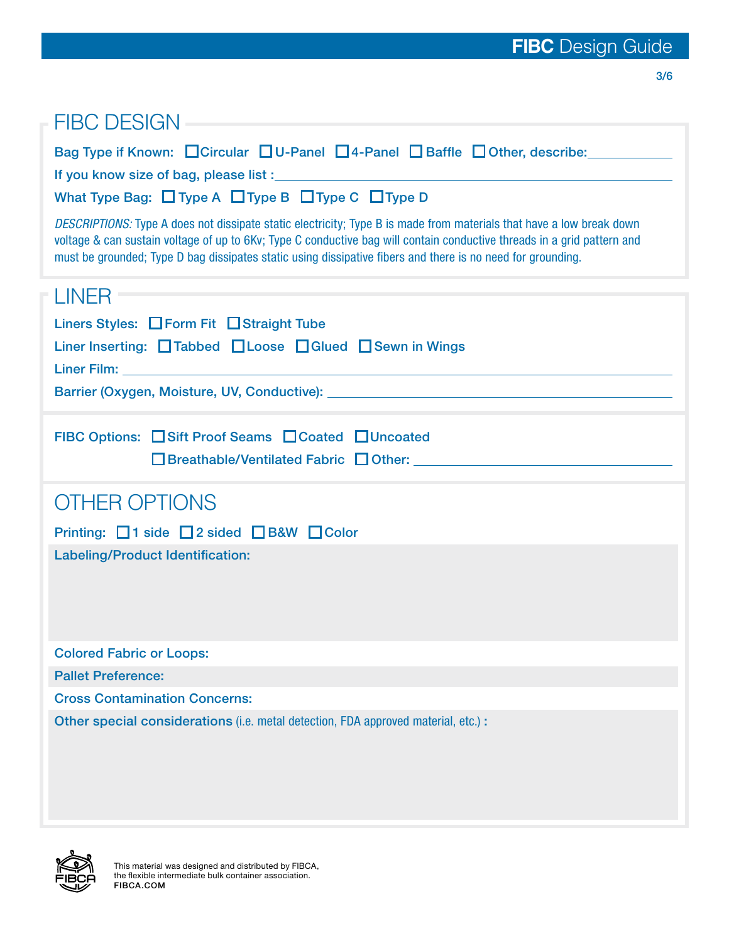3/6

| <b>FIBC DESIGN</b>                                                                                                                                                                                                                                                                                                                                             |
|----------------------------------------------------------------------------------------------------------------------------------------------------------------------------------------------------------------------------------------------------------------------------------------------------------------------------------------------------------------|
| Bag Type if Known: Circular DU-Panel D4-Panel DBaffle DOther, describe:                                                                                                                                                                                                                                                                                        |
| What Type Bag: $\Box$ Type A $\Box$ Type B $\Box$ Type C $\Box$ Type D                                                                                                                                                                                                                                                                                         |
| DESCRIPTIONS: Type A does not dissipate static electricity; Type B is made from materials that have a low break down<br>voltage & can sustain voltage of up to 6Kv; Type C conductive bag will contain conductive threads in a grid pattern and<br>must be grounded; Type D bag dissipates static using dissipative fibers and there is no need for grounding. |
| LINER                                                                                                                                                                                                                                                                                                                                                          |
| Liners Styles: Form Fit Straight Tube                                                                                                                                                                                                                                                                                                                          |
| Liner Inserting: Tabbed Loose DGIued Bewn in Wings                                                                                                                                                                                                                                                                                                             |
|                                                                                                                                                                                                                                                                                                                                                                |
|                                                                                                                                                                                                                                                                                                                                                                |
| FIBC Options: Sift Proof Seams □ Coated □ Uncoated                                                                                                                                                                                                                                                                                                             |
| <b>OTHER OPTIONS</b>                                                                                                                                                                                                                                                                                                                                           |
| Printing: □1 side □2 sided □B&W □Color                                                                                                                                                                                                                                                                                                                         |
| <b>Labeling/Product Identification:</b>                                                                                                                                                                                                                                                                                                                        |
| <b>Colored Fabric or Loops:</b>                                                                                                                                                                                                                                                                                                                                |
| <b>Pallet Preference:</b>                                                                                                                                                                                                                                                                                                                                      |
| <b>Cross Contamination Concerns:</b>                                                                                                                                                                                                                                                                                                                           |
| Other special considerations (i.e. metal detection, FDA approved material, etc.) :                                                                                                                                                                                                                                                                             |

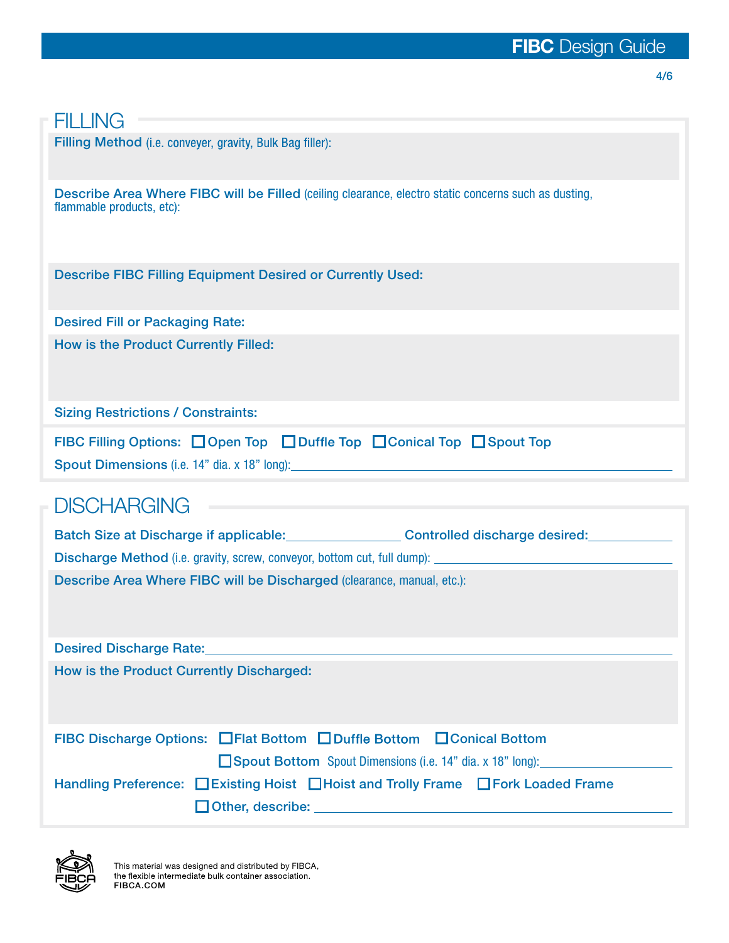#### 4/6

#### **FILLING**

Filling Method (i.e. conveyer, gravity, Bulk Bag filler):

Describe Area Where FIBC will be Filled (ceiling clearance, electro static concerns such as dusting, flammable products, etc):

Describe FIBC Filling Equipment Desired or Currently Used:

Desired Fill or Packaging Rate: How is the Product Currently Filled:

Sizing Restrictions / Constraints:

| FIBC Filling Options: □ Open Top □ Duffle Top □ Conical Top □ Spout Top |  |  |  |  |  |
|-------------------------------------------------------------------------|--|--|--|--|--|
| Spout Dimensions (i.e. 14" dia. x 18" long):                            |  |  |  |  |  |

### **DISCHARGING**

Batch Size at Discharge if applicable: Controlled discharge desired: Controlled discharge desired: Discharge Method (i.e. gravity, screw, conveyor, bottom cut, full dump): Describe Area Where FIBC will be Discharged (clearance, manual, etc.):

Desired Discharge Rate:

How is the Product Currently Discharged:

FIBC Discharge Options: Filat Bottom Conical Conical Bottom Conical Bottom

■Spout Bottom Spout Dimensions (i.e. 14" dia. x 18" long):

Handling Preference: Existing Hoist Electric and Trolly Frame Fork Loaded Frame Other, describe: New York Changes and Changes and Changes and Changes and Changes and Changes and Changes and Changes and Changes and Changes and Changes and Changes and Changes and Changes and Changes and Changes and Chan

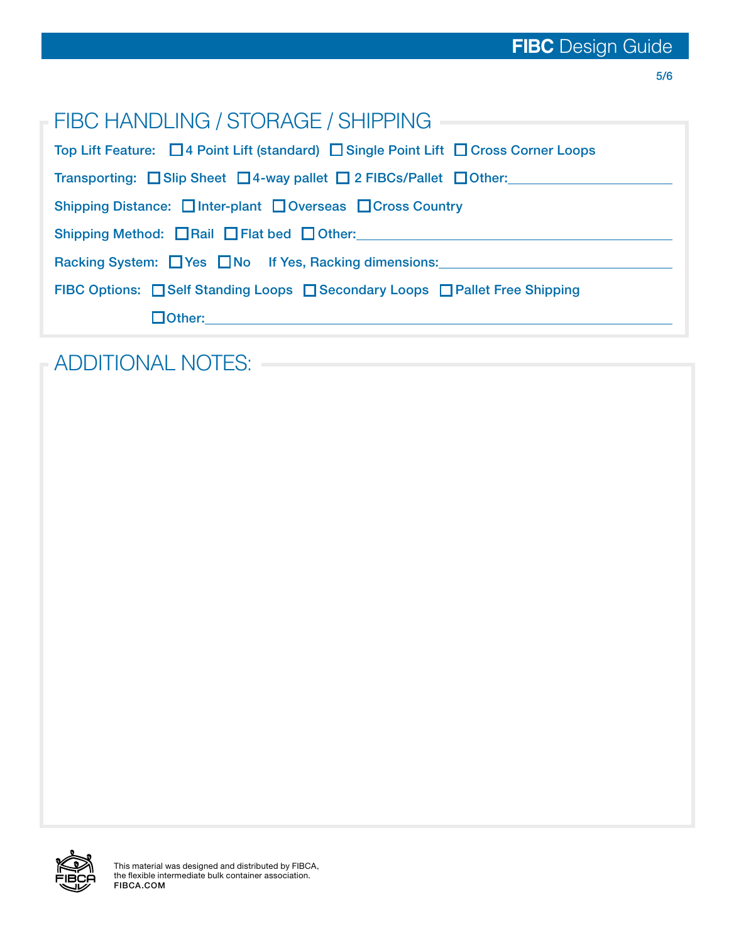| FIBC HANDLING / STORAGE / SHIPPING                                                   |  |  |
|--------------------------------------------------------------------------------------|--|--|
| Top Lift Feature: □ 4 Point Lift (standard) □ Single Point Lift □ Cross Corner Loops |  |  |
| Transporting: Slip Sheet 4-way pallet 2 FIBCs/Pallet 0 Other:                        |  |  |
| Shipping Distance: Inter-plant Doverseas DCross Country                              |  |  |
| Shipping Method: Rail Flat bed Other:                                                |  |  |
| Racking System: Ves No If Yes, Racking dimensions:                                   |  |  |
| FIBC Options: Self Standing Loops Secondary Loops Self Free Shipping                 |  |  |
|                                                                                      |  |  |

## ADDITIONAL NOTES: